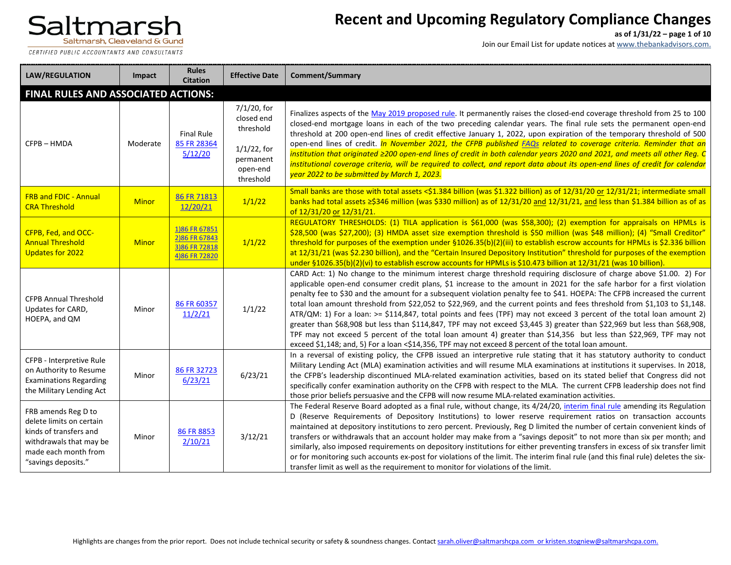CERTIFIED PUBLIC ACCOUNTANTS AND CONSULTANTS

# **Recent and Upcoming Regulatory Compliance Changes**

**as of 1/31/22 – page 1 of 10**

| <b>LAW/REGULATION</b>                                                                                                                               | Impact       | <b>Rules</b><br><b>Citation</b>                                  | <b>Effective Date</b>                                                                          | <b>Comment/Summary</b>                                                                                                                                                                                                                                                                                                                                                                                                                                                                                                                                                                                                                                                                                                                                                                                                                                                                                                                                                                       |
|-----------------------------------------------------------------------------------------------------------------------------------------------------|--------------|------------------------------------------------------------------|------------------------------------------------------------------------------------------------|----------------------------------------------------------------------------------------------------------------------------------------------------------------------------------------------------------------------------------------------------------------------------------------------------------------------------------------------------------------------------------------------------------------------------------------------------------------------------------------------------------------------------------------------------------------------------------------------------------------------------------------------------------------------------------------------------------------------------------------------------------------------------------------------------------------------------------------------------------------------------------------------------------------------------------------------------------------------------------------------|
| FINAL RULES AND ASSOCIATED ACTIONS:                                                                                                                 |              |                                                                  |                                                                                                |                                                                                                                                                                                                                                                                                                                                                                                                                                                                                                                                                                                                                                                                                                                                                                                                                                                                                                                                                                                              |
| CFPB-HMDA                                                                                                                                           | Moderate     | <b>Final Rule</b><br>85 FR 28364<br>5/12/20                      | 7/1/20, for<br>closed end<br>threshold<br>$1/1/22$ , for<br>permanent<br>open-end<br>threshold | Finalizes aspects of the May 2019 proposed rule. It permanently raises the closed-end coverage threshold from 25 to 100<br>closed-end mortgage loans in each of the two preceding calendar years. The final rule sets the permanent open-end<br>threshold at 200 open-end lines of credit effective January 1, 2022, upon expiration of the temporary threshold of 500<br>open-end lines of credit. In November 2021, the CFPB published FAQs related to coverage criteria. Reminder that an<br>institution that originated ≥200 open-end lines of credit in both calendar years 2020 and 2021, and meets all other Reg. C<br>institutional coverage criteria, will be required to collect, and report data about its open-end lines of credit for calendar<br>year 2022 to be submitted by March 1, 2023.                                                                                                                                                                                   |
| <b>FRB and FDIC - Annual</b><br><b>CRA Threshold</b>                                                                                                | <b>Minor</b> | 86 FR 71813<br>12/20/21                                          | 1/1/22                                                                                         | Small banks are those with total assets <\$1.384 billion (was \$1.322 billion) as of 12/31/20 or 12/31/21; intermediate small<br>banks had total assets ≥\$346 million (was \$330 million) as of 12/31/20 and 12/31/21, and less than \$1.384 billion as of as<br>of 12/31/20 or 12/31/21.                                                                                                                                                                                                                                                                                                                                                                                                                                                                                                                                                                                                                                                                                                   |
| CFPB, Fed, and OCC-<br><b>Annual Threshold</b><br><b>Updates for 2022</b>                                                                           | <b>Minor</b> | 1)86 FR 67851<br>2)86 FR 67843<br>3)86 FR 72818<br>4)86 FR 72820 | 1/1/22                                                                                         | REGULATORY THRESHOLDS: (1) TILA application is \$61,000 (was \$58,300); (2) exemption for appraisals on HPMLs is<br>\$28,500 (was \$27,200); (3) HMDA asset size exemption threshold is \$50 million (was \$48 million); (4) "Small Creditor"<br>threshold for purposes of the exemption under §1026.35(b)(2)(iii) to establish escrow accounts for HPMLs is \$2.336 billion<br>at 12/31/21 (was \$2.230 billion), and the "Certain Insured Depository Institution" threshold for purposes of the exemption<br>under §1026.35(b)(2)(vi) to establish escrow accounts for HPMLs is \$10.473 billion at 12/31/21 (was 10 billion).                                                                                                                                                                                                                                                                                                                                                             |
| <b>CFPB Annual Threshold</b><br>Updates for CARD,<br>HOEPA, and QM                                                                                  | Minor        | 86 FR 60357<br>11/2/21                                           | 1/1/22                                                                                         | CARD Act: 1) No change to the minimum interest charge threshold requiring disclosure of charge above \$1.00. 2) For<br>applicable open-end consumer credit plans, \$1 increase to the amount in 2021 for the safe harbor for a first violation<br>penalty fee to \$30 and the amount for a subsequent violation penalty fee to \$41. HOEPA: The CFPB increased the current<br>total loan amount threshold from \$22,052 to \$22,969, and the current points and fees threshold from \$1,103 to \$1,148.<br>ATR/QM: 1) For a loan: >= \$114,847, total points and fees (TPF) may not exceed 3 percent of the total loan amount 2)<br>greater than \$68,908 but less than \$114,847, TPF may not exceed \$3,445 3) greater than \$22,969 but less than \$68,908,<br>TPF may not exceed 5 percent of the total loan amount 4) greater than \$14,356 but less than \$22,969, TPF may not<br>exceed \$1,148; and, 5) For a loan <\$14,356, TPF may not exceed 8 percent of the total loan amount. |
| CFPB - Interpretive Rule<br>on Authority to Resume<br><b>Examinations Regarding</b><br>the Military Lending Act                                     | Minor        | 86 FR 32723<br>6/23/21                                           | 6/23/21                                                                                        | In a reversal of existing policy, the CFPB issued an interpretive rule stating that it has statutory authority to conduct<br>Military Lending Act (MLA) examination activities and will resume MLA examinations at institutions it supervises. In 2018,<br>the CFPB's leadership discontinued MLA-related examination activities, based on its stated belief that Congress did not<br>specifically confer examination authority on the CFPB with respect to the MLA. The current CFPB leadership does not find<br>those prior beliefs persuasive and the CFPB will now resume MLA-related examination activities.                                                                                                                                                                                                                                                                                                                                                                            |
| FRB amends Reg D to<br>delete limits on certain<br>kinds of transfers and<br>withdrawals that may be<br>made each month from<br>"savings deposits." | Minor        | 86 FR 8853<br>2/10/21                                            | 3/12/21                                                                                        | The Federal Reserve Board adopted as a final rule, without change, its 4/24/20, interim final rule amending its Regulation<br>D (Reserve Requirements of Depository Institutions) to lower reserve requirement ratios on transaction accounts<br>maintained at depository institutions to zero percent. Previously, Reg D limited the number of certain convenient kinds of<br>transfers or withdrawals that an account holder may make from a "savings deposit" to not more than six per month; and<br>similarly, also imposed requirements on depository institutions for either preventing transfers in excess of six transfer limit<br>or for monitoring such accounts ex-post for violations of the limit. The interim final rule (and this final rule) deletes the six-<br>transfer limit as well as the requirement to monitor for violations of the limit.                                                                                                                           |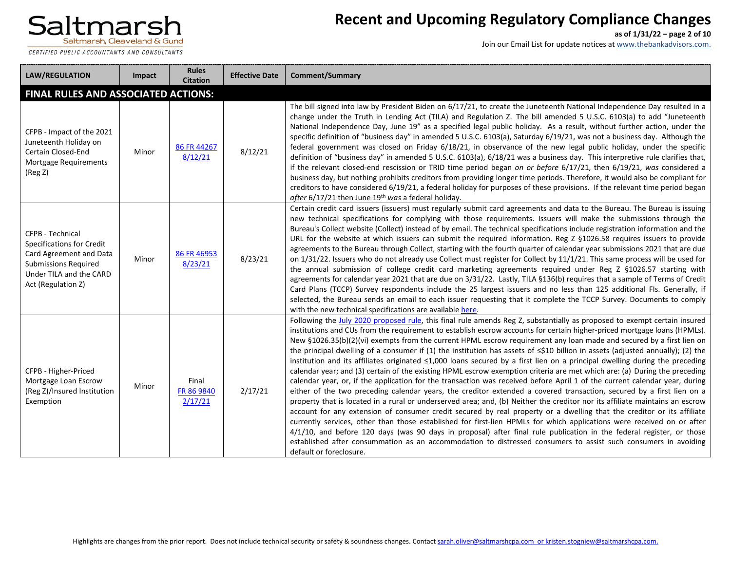CERTIFIED PUBLIC ACCOUNTANTS AND CONSULTANTS

# **Recent and Upcoming Regulatory Compliance Changes**

**as of 1/31/22 – page 2 of 10**

| <b>LAW/REGULATION</b>                                                                                                                                           | Impact | <b>Rules</b><br><b>Citation</b> | <b>Effective Date</b> | Comment/Summary                                                                                                                                                                                                                                                                                                                                                                                                                                                                                                                                                                                                                                                                                                                                                                                                                                                                                                                                                                                                                                                                                                                                                                                                                                                                                                                                                                                                                                                                                                                                                                                                                                                                                   |
|-----------------------------------------------------------------------------------------------------------------------------------------------------------------|--------|---------------------------------|-----------------------|---------------------------------------------------------------------------------------------------------------------------------------------------------------------------------------------------------------------------------------------------------------------------------------------------------------------------------------------------------------------------------------------------------------------------------------------------------------------------------------------------------------------------------------------------------------------------------------------------------------------------------------------------------------------------------------------------------------------------------------------------------------------------------------------------------------------------------------------------------------------------------------------------------------------------------------------------------------------------------------------------------------------------------------------------------------------------------------------------------------------------------------------------------------------------------------------------------------------------------------------------------------------------------------------------------------------------------------------------------------------------------------------------------------------------------------------------------------------------------------------------------------------------------------------------------------------------------------------------------------------------------------------------------------------------------------------------|
| <b>FINAL RULES AND ASSOCIATED ACTIONS:</b>                                                                                                                      |        |                                 |                       |                                                                                                                                                                                                                                                                                                                                                                                                                                                                                                                                                                                                                                                                                                                                                                                                                                                                                                                                                                                                                                                                                                                                                                                                                                                                                                                                                                                                                                                                                                                                                                                                                                                                                                   |
| CFPB - Impact of the 2021<br>Juneteenth Holiday on<br>Certain Closed-End<br>Mortgage Requirements<br>(Reg Z)                                                    | Minor  | 86 FR 44267<br>8/12/21          | 8/12/21               | The bill signed into law by President Biden on 6/17/21, to create the Juneteenth National Independence Day resulted in a<br>change under the Truth in Lending Act (TILA) and Regulation Z. The bill amended 5 U.S.C. 6103(a) to add "Juneteenth<br>National Independence Day, June 19" as a specified legal public holiday. As a result, without further action, under the<br>specific definition of "business day" in amended 5 U.S.C. 6103(a), Saturday 6/19/21, was not a business day. Although the<br>federal government was closed on Friday 6/18/21, in observance of the new legal public holiday, under the specific<br>definition of "business day" in amended 5 U.S.C. 6103(a), 6/18/21 was a business day. This interpretive rule clarifies that,<br>if the relevant closed-end rescission or TRID time period began on or before $6/17/21$ , then $6/19/21$ , was considered a<br>business day, but nothing prohibits creditors from providing longer time periods. Therefore, it would also be compliant for<br>creditors to have considered 6/19/21, a federal holiday for purposes of these provisions. If the relevant time period began<br>after 6/17/21 then June 19th was a federal holiday.                                                                                                                                                                                                                                                                                                                                                                                                                                                                                  |
| CFPB - Technical<br><b>Specifications for Credit</b><br>Card Agreement and Data<br><b>Submissions Required</b><br>Under TILA and the CARD<br>Act (Regulation Z) | Minor  | 86 FR 46953<br>8/23/21          | 8/23/21               | Certain credit card issuers (issuers) must regularly submit card agreements and data to the Bureau. The Bureau is issuing<br>new technical specifications for complying with those requirements. Issuers will make the submissions through the<br>Bureau's Collect website (Collect) instead of by email. The technical specifications include registration information and the<br>URL for the website at which issuers can submit the required information. Reg Z §1026.58 requires issuers to provide<br>agreements to the Bureau through Collect, starting with the fourth quarter of calendar year submissions 2021 that are due<br>on 1/31/22. Issuers who do not already use Collect must register for Collect by 11/1/21. This same process will be used for<br>the annual submission of college credit card marketing agreements required under Reg Z §1026.57 starting with<br>agreements for calendar year 2021 that are due on 3/31/22. Lastly, TILA §136(b) requires that a sample of Terms of Credit<br>Card Plans (TCCP) Survey respondents include the 25 largest issuers and no less than 125 additional Fls. Generally, if<br>selected, the Bureau sends an email to each issuer requesting that it complete the TCCP Survey. Documents to comply<br>with the new technical specifications are available here.                                                                                                                                                                                                                                                                                                                                                                   |
| CFPB - Higher-Priced<br>Mortgage Loan Escrow<br>(Reg Z)/Insured Institution<br>Exemption                                                                        | Minor  | Final<br>FR 86 9840<br>2/17/21  | 2/17/21               | Following the July 2020 proposed rule, this final rule amends Reg Z, substantially as proposed to exempt certain insured<br>institutions and CUs from the requirement to establish escrow accounts for certain higher-priced mortgage loans (HPMLs).<br>New §1026.35(b)(2)(vi) exempts from the current HPML escrow requirement any loan made and secured by a first lien on<br>the principal dwelling of a consumer if (1) the institution has assets of $\leq$ \$10 billion in assets (adjusted annually); (2) the<br>institution and its affiliates originated ≤1,000 loans secured by a first lien on a principal dwelling during the preceding<br>calendar year; and (3) certain of the existing HPML escrow exemption criteria are met which are: (a) During the preceding<br>calendar year, or, if the application for the transaction was received before April 1 of the current calendar year, during<br>either of the two preceding calendar years, the creditor extended a covered transaction, secured by a first lien on a<br>property that is located in a rural or underserved area; and, (b) Neither the creditor nor its affiliate maintains an escrow<br>account for any extension of consumer credit secured by real property or a dwelling that the creditor or its affiliate<br>currently services, other than those established for first-lien HPMLs for which applications were received on or after<br>4/1/10, and before 120 days (was 90 days in proposal) after final rule publication in the federal register, or those<br>established after consummation as an accommodation to distressed consumers to assist such consumers in avoiding<br>default or foreclosure. |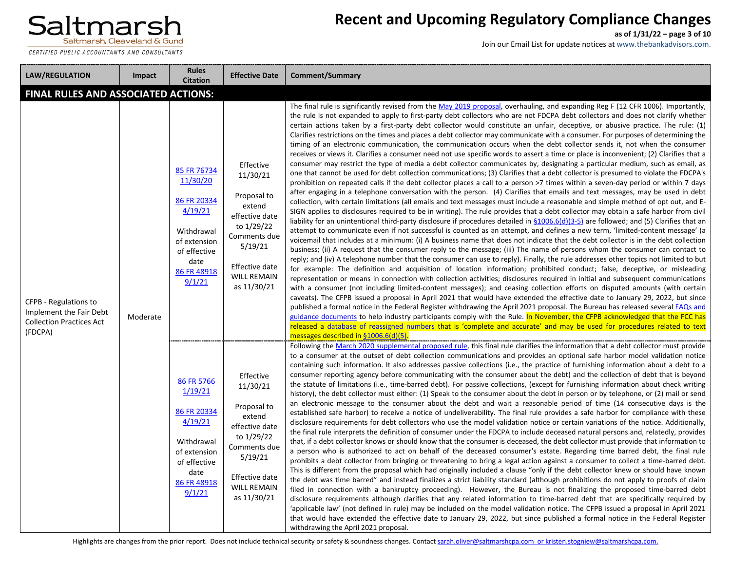CERTIFIED PUBLIC ACCOUNTANTS AND CONSULTANTS

# **Recent and Upcoming Regulatory Compliance Changes**

**as of 1/31/22 – page 3 of 10**

| <b>LAW/REGULATION</b>                                                                          | Impact   | <b>Rules</b><br><b>Citation</b>                                                                                                  | <b>Effective Date</b>                                                                                                                                            | <b>Comment/Summary</b>                                                                                                                                                                                                                                                                                                                                                                                                                                                                                                                                                                                                                                                                                                                                                                                                                                                                                                                                                                                                                                                                                                                                                                                                                                                                                                                                                                                                                                                                                                                                                                                                                                                                                                                                                                                                                                                                                                                                                                                                                                                                                                                                                                                                                                                                                                                                                                                                                                                                                                                                                                                                                                                                                                                                                                                                                                                                                                                                                                                                                                                                                                                                                                                                                                                                          |
|------------------------------------------------------------------------------------------------|----------|----------------------------------------------------------------------------------------------------------------------------------|------------------------------------------------------------------------------------------------------------------------------------------------------------------|-------------------------------------------------------------------------------------------------------------------------------------------------------------------------------------------------------------------------------------------------------------------------------------------------------------------------------------------------------------------------------------------------------------------------------------------------------------------------------------------------------------------------------------------------------------------------------------------------------------------------------------------------------------------------------------------------------------------------------------------------------------------------------------------------------------------------------------------------------------------------------------------------------------------------------------------------------------------------------------------------------------------------------------------------------------------------------------------------------------------------------------------------------------------------------------------------------------------------------------------------------------------------------------------------------------------------------------------------------------------------------------------------------------------------------------------------------------------------------------------------------------------------------------------------------------------------------------------------------------------------------------------------------------------------------------------------------------------------------------------------------------------------------------------------------------------------------------------------------------------------------------------------------------------------------------------------------------------------------------------------------------------------------------------------------------------------------------------------------------------------------------------------------------------------------------------------------------------------------------------------------------------------------------------------------------------------------------------------------------------------------------------------------------------------------------------------------------------------------------------------------------------------------------------------------------------------------------------------------------------------------------------------------------------------------------------------------------------------------------------------------------------------------------------------------------------------------------------------------------------------------------------------------------------------------------------------------------------------------------------------------------------------------------------------------------------------------------------------------------------------------------------------------------------------------------------------------------------------------------------------------------------------------------------------|
| <b>FINAL RULES AND ASSOCIATED ACTIONS:</b>                                                     |          |                                                                                                                                  |                                                                                                                                                                  |                                                                                                                                                                                                                                                                                                                                                                                                                                                                                                                                                                                                                                                                                                                                                                                                                                                                                                                                                                                                                                                                                                                                                                                                                                                                                                                                                                                                                                                                                                                                                                                                                                                                                                                                                                                                                                                                                                                                                                                                                                                                                                                                                                                                                                                                                                                                                                                                                                                                                                                                                                                                                                                                                                                                                                                                                                                                                                                                                                                                                                                                                                                                                                                                                                                                                                 |
| CFPB - Regulations to<br>Implement the Fair Debt<br><b>Collection Practices Act</b><br>(FDCPA) | Moderate | 85 FR 76734<br>11/30/20<br>86 FR 20334<br>4/19/21<br>Withdrawal<br>of extension<br>of effective<br>date<br>86 FR 48918<br>9/1/21 | Effective<br>11/30/21<br>Proposal to<br>extend<br>effective date<br>to 1/29/22<br>Comments due<br>5/19/21<br>Effective date<br><b>WILL REMAIN</b><br>as 11/30/21 | The final rule is significantly revised from the May 2019 proposal, overhauling, and expanding Reg F (12 CFR 1006). Importantly,<br>the rule is not expanded to apply to first-party debt collectors who are not FDCPA debt collectors and does not clarify whether<br>certain actions taken by a first-party debt collector would constitute an unfair, deceptive, or abusive practice. The rule: (1)<br>Clarifies restrictions on the times and places a debt collector may communicate with a consumer. For purposes of determining the<br>timing of an electronic communication, the communication occurs when the debt collector sends it, not when the consumer<br>receives or views it. Clarifies a consumer need not use specific words to assert a time or place is inconvenient; (2) Clarifies that a<br>consumer may restrict the type of media a debt collector communicates by, designating a particular medium, such as email, as<br>one that cannot be used for debt collection communications; (3) Clarifies that a debt collector is presumed to violate the FDCPA's<br>prohibition on repeated calls if the debt collector places a call to a person >7 times within a seven-day period or within 7 days<br>after engaging in a telephone conversation with the person. (4) Clarifies that emails and text messages, may be used in debt<br>collection, with certain limitations (all emails and text messages must include a reasonable and simple method of opt out, and E-<br>SIGN applies to disclosures required to be in writing). The rule provides that a debt collector may obtain a safe harbor from civil<br>liability for an unintentional third-party disclosure if procedures detailed in §1006.6(d)(3-5) are followed; and (5) Clarifies that an<br>attempt to communicate even if not successful is counted as an attempt, and defines a new term, 'limited-content message' (a<br>voicemail that includes at a minimum: (i) A business name that does not indicate that the debt collector is in the debt collection<br>business; (ii) A request that the consumer reply to the message; (iii) The name of persons whom the consumer can contact to<br>reply; and (iv) A telephone number that the consumer can use to reply). Finally, the rule addresses other topics not limited to but<br>for example: The definition and acquisition of location information; prohibited conduct; false, deceptive, or misleading<br>representation or means in connection with collection activities; disclosures required in initial and subsequent communications<br>with a consumer (not including limited-content messages); and ceasing collection efforts on disputed amounts (with certain<br>caveats). The CFPB issued a proposal in April 2021 that would have extended the effective date to January 29, 2022, but since<br>published a formal notice in the Federal Register withdrawing the April 2021 proposal. The Bureau has released several FAQs and<br>guidance documents to help industry participants comply with the Rule. In November, the CFPB acknowledged that the FCC has<br>released a database of reassigned numbers that is 'complete and accurate' and may be used for procedures related to text<br>messages described in §1006.6(d)(5) |
|                                                                                                |          | 86 FR 5766<br>1/19/21<br>86 FR 20334<br>4/19/21<br>Withdrawal<br>of extension<br>of effective<br>date<br>86 FR 48918<br>9/1/21   | Effective<br>11/30/21<br>Proposal to<br>extend<br>effective date<br>to 1/29/22<br>Comments due<br>5/19/21<br>Effective date<br><b>WILL REMAIN</b><br>as 11/30/21 | Following the March 2020 supplemental proposed rule, this final rule clarifies the information that a debt collector must provide<br>to a consumer at the outset of debt collection communications and provides an optional safe harbor model validation notice<br>containing such information. It also addresses passive collections (i.e., the practice of furnishing information about a debt to a<br>consumer reporting agency before communicating with the consumer about the debt) and the collection of debt that is beyond<br>the statute of limitations (i.e., time-barred debt). For passive collections, (except for furnishing information about check writing<br>history), the debt collector must either: (1) Speak to the consumer about the debt in person or by telephone, or (2) mail or send<br>an electronic message to the consumer about the debt and wait a reasonable period of time (14 consecutive days is the<br>established safe harbor) to receive a notice of undeliverability. The final rule provides a safe harbor for compliance with these<br>disclosure requirements for debt collectors who use the model validation notice or certain variations of the notice. Additionally,<br>the final rule interprets the definition of consumer under the FDCPA to include deceased natural persons and, relatedly, provides<br>that, if a debt collector knows or should know that the consumer is deceased, the debt collector must provide that information to<br>a person who is authorized to act on behalf of the deceased consumer's estate. Regarding time barred debt, the final rule<br>prohibits a debt collector from bringing or threatening to bring a legal action against a consumer to collect a time-barred debt.<br>This is different from the proposal which had originally included a clause "only if the debt collector knew or should have known<br>the debt was time barred" and instead finalizes a strict liability standard (although prohibitions do not apply to proofs of claim<br>filed in connection with a bankruptcy proceeding). However, the Bureau is not finalizing the proposed time-barred debt<br>disclosure requirements although clarifies that any related information to time-barred debt that are specifically required by<br>'applicable law' (not defined in rule) may be included on the model validation notice. The CFPB issued a proposal in April 2021<br>that would have extended the effective date to January 29, 2022, but since published a formal notice in the Federal Register<br>withdrawing the April 2021 proposal.                                                                                                                                                                                                                                                                                                                                                                                                                                                                                                                                                                                                                                                                                |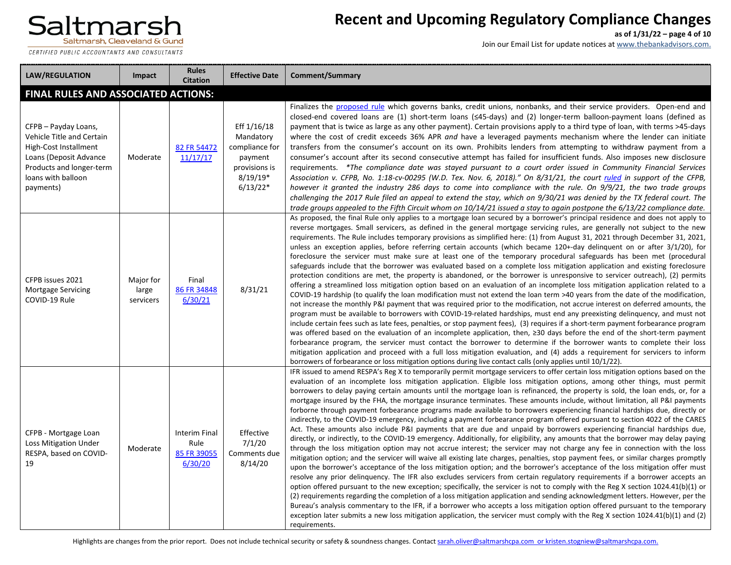CERTIFIED PUBLIC ACCOUNTANTS AND CONSULTANTS

# **Recent and Upcoming Regulatory Compliance Changes**

**as of 1/31/22 – page 4 of 10**

| <b>LAW/REGULATION</b>                                                                                                                                               | Impact                          | <b>Rules</b><br><b>Citation</b>                 | <b>Effective Date</b>                                                                              | Comment/Summary                                                                                                                                                                                                                                                                                                                                                                                                                                                                                                                                                                                                                                                                                                                                                                                                                                                                                                                                                                                                                                                                                                                                                                                                                                                                                                                                                                                                                                                                                                                                                                                                                                                                                                                                                                                                                                                                                                                                                                                                                                                                                                                                                      |
|---------------------------------------------------------------------------------------------------------------------------------------------------------------------|---------------------------------|-------------------------------------------------|----------------------------------------------------------------------------------------------------|----------------------------------------------------------------------------------------------------------------------------------------------------------------------------------------------------------------------------------------------------------------------------------------------------------------------------------------------------------------------------------------------------------------------------------------------------------------------------------------------------------------------------------------------------------------------------------------------------------------------------------------------------------------------------------------------------------------------------------------------------------------------------------------------------------------------------------------------------------------------------------------------------------------------------------------------------------------------------------------------------------------------------------------------------------------------------------------------------------------------------------------------------------------------------------------------------------------------------------------------------------------------------------------------------------------------------------------------------------------------------------------------------------------------------------------------------------------------------------------------------------------------------------------------------------------------------------------------------------------------------------------------------------------------------------------------------------------------------------------------------------------------------------------------------------------------------------------------------------------------------------------------------------------------------------------------------------------------------------------------------------------------------------------------------------------------------------------------------------------------------------------------------------------------|
| FINAL RULES AND ASSOCIATED ACTIONS:                                                                                                                                 |                                 |                                                 |                                                                                                    |                                                                                                                                                                                                                                                                                                                                                                                                                                                                                                                                                                                                                                                                                                                                                                                                                                                                                                                                                                                                                                                                                                                                                                                                                                                                                                                                                                                                                                                                                                                                                                                                                                                                                                                                                                                                                                                                                                                                                                                                                                                                                                                                                                      |
| CFPB - Payday Loans,<br>Vehicle Title and Certain<br>High-Cost Installment<br>Loans (Deposit Advance<br>Products and longer-term<br>loans with balloon<br>payments) | Moderate                        | 82 FR 54472<br>11/17/17                         | Eff 1/16/18<br>Mandatory<br>compliance for<br>payment<br>provisions is<br>$8/19/19*$<br>$6/13/22*$ | Finalizes the proposed rule which governs banks, credit unions, nonbanks, and their service providers. Open-end and<br>closed-end covered loans are (1) short-term loans ( $\leq$ 45-days) and (2) longer-term balloon-payment loans (defined as<br>payment that is twice as large as any other payment). Certain provisions apply to a third type of loan, with terms >45-days<br>where the cost of credit exceeds 36% APR and have a leveraged payments mechanism where the lender can initiate<br>transfers from the consumer's account on its own. Prohibits lenders from attempting to withdraw payment from a<br>consumer's account after its second consecutive attempt has failed for insufficient funds. Also imposes new disclosure<br>requirements. *The compliance date was stayed pursuant to a court order issued in Community Financial Services<br>Association v. CFPB, No. 1:18-cv-00295 (W.D. Tex. Nov. 6, 2018)." On 8/31/21, the court ruled in support of the CFPB,<br>however it granted the industry 286 days to come into compliance with the rule. On 9/9/21, the two trade groups<br>challenging the 2017 Rule filed an appeal to extend the stay, which on 9/30/21 was denied by the TX federal court. The<br>trade groups appealed to the Fifth Circuit whom on $10/14/21$ issued a stay to again postpone the $6/13/22$ compliance date.                                                                                                                                                                                                                                                                                                                                                                                                                                                                                                                                                                                                                                                                                                                                                                                                |
| CFPB issues 2021<br><b>Mortgage Servicing</b><br>COVID-19 Rule                                                                                                      | Major for<br>large<br>servicers | Final<br>86 FR 34848<br>6/30/21                 | 8/31/21                                                                                            | As proposed, the final Rule only applies to a mortgage loan secured by a borrower's principal residence and does not apply to<br>reverse mortgages. Small servicers, as defined in the general mortgage servicing rules, are generally not subject to the new<br>requirements. The Rule includes temporary provisions as simplified here: (1) from August 31, 2021 through December 31, 2021,<br>unless an exception applies, before referring certain accounts (which became 120+-day delinguent on or after 3/1/20), for<br>foreclosure the servicer must make sure at least one of the temporary procedural safeguards has been met (procedural<br>safeguards include that the borrower was evaluated based on a complete loss mitigation application and existing foreclosure<br>protection conditions are met, the property is abandoned, or the borrower is unresponsive to servicer outreach), (2) permits<br>offering a streamlined loss mitigation option based on an evaluation of an incomplete loss mitigation application related to a<br>COVID-19 hardship (to qualify the loan modification must not extend the loan term >40 years from the date of the modification,<br>not increase the monthly P&I payment that was required prior to the modification, not accrue interest on deferred amounts, the<br>program must be available to borrowers with COVID-19-related hardships, must end any preexisting delinquency, and must not<br>include certain fees such as late fees, penalties, or stop payment fees), (3) requires if a short-term payment forbearance program<br>was offered based on the evaluation of an incomplete application, then, ≥30 days before the end of the short-term payment<br>forbearance program, the servicer must contact the borrower to determine if the borrower wants to complete their loss<br>mitigation application and proceed with a full loss mitigation evaluation, and (4) adds a requirement for servicers to inform<br>borrowers of forbearance or loss mitigation options during live contact calls (only applies until $10/1/22$ ).                                                                 |
| CFPB - Mortgage Loan<br><b>Loss Mitigation Under</b><br>RESPA, based on COVID-<br>19                                                                                | Moderate                        | Interim Final<br>Rule<br>85 FR 39055<br>6/30/20 | Effective<br>7/1/20<br>Comments due<br>8/14/20                                                     | IFR issued to amend RESPA's Reg X to temporarily permit mortgage servicers to offer certain loss mitigation options based on the<br>evaluation of an incomplete loss mitigation application. Eligible loss mitigation options, among other things, must permit<br>borrowers to delay paying certain amounts until the mortgage loan is refinanced, the property is sold, the loan ends, or, for a<br>mortgage insured by the FHA, the mortgage insurance terminates. These amounts include, without limitation, all P&I payments<br>forborne through payment forbearance programs made available to borrowers experiencing financial hardships due, directly or<br>indirectly, to the COVID-19 emergency, including a payment forbearance program offered pursuant to section 4022 of the CARES<br>Act. These amounts also include P&I payments that are due and unpaid by borrowers experiencing financial hardships due,<br>directly, or indirectly, to the COVID-19 emergency. Additionally, for eligibility, any amounts that the borrower may delay paying<br>through the loss mitigation option may not accrue interest; the servicer may not charge any fee in connection with the loss<br>mitigation option; and the servicer will waive all existing late charges, penalties, stop payment fees, or similar charges promptly<br>upon the borrower's acceptance of the loss mitigation option; and the borrower's acceptance of the loss mitigation offer must<br>resolve any prior delinguency. The IFR also excludes servicers from certain regulatory requirements if a borrower accepts an<br>option offered pursuant to the new exception; specifically, the servicer is not to comply with the Reg X section 1024.41(b)(1) or<br>(2) requirements regarding the completion of a loss mitigation application and sending acknowledgment letters. However, per the<br>Bureau's analysis commentary to the IFR, if a borrower who accepts a loss mitigation option offered pursuant to the temporary<br>exception later submits a new loss mitigation application, the servicer must comply with the Reg X section 1024.41(b)(1) and (2)<br>requirements. |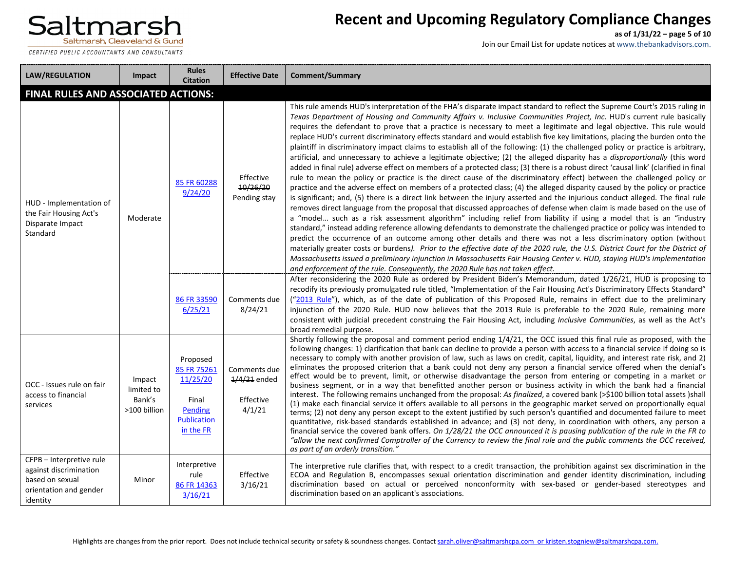

CERTIFIED PUBLIC ACCOUNTANTS AND CONSULTANTS

# **Recent and Upcoming Regulatory Compliance Changes**

**as of 1/31/22 – page 5 of 10**

| <b>LAW/REGULATION</b>                                                                                       | <b>Impact</b>                                  | <b>Rules</b><br><b>Citation</b>                                                            | <b>Effective Date</b>                                 | <b>Comment/Summary</b>                                                                                                                                                                                                                                                                                                                                                                                                                                                                                                                                                                                                                                                                                                                                                                                                                                                                                                                                                                                                                                                                                                                                                                                                                                                                                                                                                                                                                                                                                                                                                                                                                                                                                                                                                                                                                                                                                                                                                                                                                                                                                                                                           |
|-------------------------------------------------------------------------------------------------------------|------------------------------------------------|--------------------------------------------------------------------------------------------|-------------------------------------------------------|------------------------------------------------------------------------------------------------------------------------------------------------------------------------------------------------------------------------------------------------------------------------------------------------------------------------------------------------------------------------------------------------------------------------------------------------------------------------------------------------------------------------------------------------------------------------------------------------------------------------------------------------------------------------------------------------------------------------------------------------------------------------------------------------------------------------------------------------------------------------------------------------------------------------------------------------------------------------------------------------------------------------------------------------------------------------------------------------------------------------------------------------------------------------------------------------------------------------------------------------------------------------------------------------------------------------------------------------------------------------------------------------------------------------------------------------------------------------------------------------------------------------------------------------------------------------------------------------------------------------------------------------------------------------------------------------------------------------------------------------------------------------------------------------------------------------------------------------------------------------------------------------------------------------------------------------------------------------------------------------------------------------------------------------------------------------------------------------------------------------------------------------------------------|
| <b>FINAL RULES AND ASSOCIATED ACTIONS:</b>                                                                  |                                                |                                                                                            |                                                       |                                                                                                                                                                                                                                                                                                                                                                                                                                                                                                                                                                                                                                                                                                                                                                                                                                                                                                                                                                                                                                                                                                                                                                                                                                                                                                                                                                                                                                                                                                                                                                                                                                                                                                                                                                                                                                                                                                                                                                                                                                                                                                                                                                  |
| HUD - Implementation of<br>the Fair Housing Act's<br>Disparate Impact<br>Standard                           | Moderate                                       | 85 FR 60288<br>9/24/20                                                                     | Effective<br>10/26/20<br>Pending stay                 | This rule amends HUD's interpretation of the FHA's disparate impact standard to reflect the Supreme Court's 2015 ruling in<br>Texas Department of Housing and Community Affairs v. Inclusive Communities Project, Inc. HUD's current rule basically<br>requires the defendant to prove that a practice is necessary to meet a legitimate and legal objective. This rule would<br>replace HUD's current discriminatory effects standard and would establish five key limitations, placing the burden onto the<br>plaintiff in discriminatory impact claims to establish all of the following: (1) the challenged policy or practice is arbitrary,<br>artificial, and unnecessary to achieve a legitimate objective; (2) the alleged disparity has a disproportionally (this word<br>added in final rule) adverse effect on members of a protected class; (3) there is a robust direct 'causal link' (clarified in final<br>rule to mean the policy or practice is the direct cause of the discriminatory effect) between the challenged policy or<br>practice and the adverse effect on members of a protected class; (4) the alleged disparity caused by the policy or practice<br>is significant; and, (5) there is a direct link between the injury asserted and the injurious conduct alleged. The final rule<br>removes direct language from the proposal that discussed approaches of defense when claim is made based on the use of<br>a "model such as a risk assessment algorithm" including relief from liability if using a model that is an "industry<br>standard," instead adding reference allowing defendants to demonstrate the challenged practice or policy was intended to<br>predict the occurrence of an outcome among other details and there was not a less discriminatory option (without<br>materially greater costs or burdens). Prior to the effective date of the 2020 rule, the U.S. District Court for the District of<br>Massachusetts issued a preliminary injunction in Massachusetts Fair Housing Center v. HUD, staying HUD's implementation<br>and enforcement of the rule. Consequently, the 2020 Rule has not taken effect. |
|                                                                                                             |                                                | 86 FR 33590<br>6/25/21                                                                     | Comments due<br>8/24/21                               | After reconsidering the 2020 Rule as ordered by President Biden's Memorandum, dated 1/26/21, HUD is proposing to<br>recodify its previously promulgated rule titled, "Implementation of the Fair Housing Act's Discriminatory Effects Standard"<br>("2013 Rule"), which, as of the date of publication of this Proposed Rule, remains in effect due to the preliminary<br>injunction of the 2020 Rule. HUD now believes that the 2013 Rule is preferable to the 2020 Rule, remaining more<br>consistent with judicial precedent construing the Fair Housing Act, including Inclusive Communities, as well as the Act's<br>broad remedial purpose.                                                                                                                                                                                                                                                                                                                                                                                                                                                                                                                                                                                                                                                                                                                                                                                                                                                                                                                                                                                                                                                                                                                                                                                                                                                                                                                                                                                                                                                                                                                |
| OCC - Issues rule on fair<br>access to financial<br>services                                                | Impact<br>limited to<br>Bank's<br>>100 billion | Proposed<br>85 FR 75261<br>11/25/20<br>Final<br>Pending<br><b>Publication</b><br>in the FR | Comments due<br>$1/4/21$ ended<br>Effective<br>4/1/21 | Shortly following the proposal and comment period ending 1/4/21, the OCC issued this final rule as proposed, with the<br>following changes: 1) clarification that bank can decline to provide a person with access to a financial service if doing so is<br>necessary to comply with another provision of law, such as laws on credit, capital, liquidity, and interest rate risk, and 2)<br>eliminates the proposed criterion that a bank could not deny any person a financial service offered when the denial's<br>effect would be to prevent, limit, or otherwise disadvantage the person from entering or competing in a market or<br>business segment, or in a way that benefitted another person or business activity in which the bank had a financial<br>interest. The following remains unchanged from the proposal: As finalized, a covered bank (>\$100 billion total assets) shall<br>(1) make each financial service it offers available to all persons in the geographic market served on proportionally equal<br>terms; (2) not deny any person except to the extent justified by such person's quantified and documented failure to meet<br>quantitative, risk-based standards established in advance; and (3) not deny, in coordination with others, any person a<br>financial service the covered bank offers. On 1/28/21 the OCC announced it is pausing publication of the rule in the FR to<br>"allow the next confirmed Comptroller of the Currency to review the final rule and the public comments the OCC received,<br>as part of an orderly transition."                                                                                                                                                                                                                                                                                                                                                                                                                                                                                                                                                                              |
| CFPB - Interpretive rule<br>against discrimination<br>based on sexual<br>orientation and gender<br>identity | Minor                                          | Interpretive<br>rule<br>86 FR 14363<br>3/16/21                                             | Effective<br>3/16/21                                  | The interpretive rule clarifies that, with respect to a credit transaction, the prohibition against sex discrimination in the<br>ECOA and Regulation B, encompasses sexual orientation discrimination and gender identity discrimination, including<br>discrimination based on actual or perceived nonconformity with sex-based or gender-based stereotypes and<br>discrimination based on an applicant's associations.                                                                                                                                                                                                                                                                                                                                                                                                                                                                                                                                                                                                                                                                                                                                                                                                                                                                                                                                                                                                                                                                                                                                                                                                                                                                                                                                                                                                                                                                                                                                                                                                                                                                                                                                          |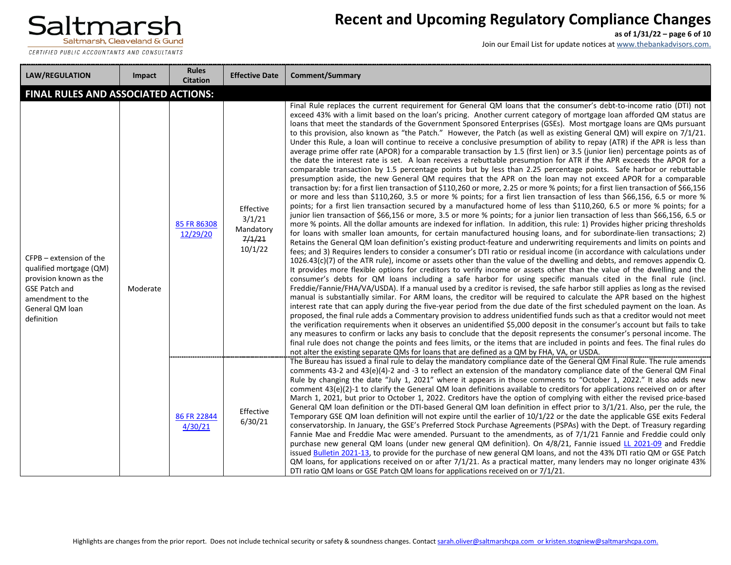

CERTIFIED PUBLIC ACCOUNTANTS AND CONSULTANTS

# **Recent and Upcoming Regulatory Compliance Changes**

**as of 1/31/22 – page 6 of 10**

| <b>LAW/REGULATION</b>                                                                                                                                     | Impact   | <b>Rules</b><br><b>Citation</b> | <b>Effective Date</b>                                 | <b>Comment/Summary</b>                                                                                                                                                                                                                                                                                                                                                                                                                                                                                                                                                                                                                                                                                                                                                                                                                                                                                                                                                                                                                                                                                                                                                                                                                                                                                                                                                                                                                                                                                                                                                                                                                                                                                                                                                                                                                                                                                                                                                                                                                                                                                                                                                                                                                                                                                                                                                                                                                                                                                                                                                                                                                                                                                                                                                                                                                                                                                                                                                                                                                                                                                                                                                                                                                                                                                                                                                                                                                                                                                                                                                     |
|-----------------------------------------------------------------------------------------------------------------------------------------------------------|----------|---------------------------------|-------------------------------------------------------|----------------------------------------------------------------------------------------------------------------------------------------------------------------------------------------------------------------------------------------------------------------------------------------------------------------------------------------------------------------------------------------------------------------------------------------------------------------------------------------------------------------------------------------------------------------------------------------------------------------------------------------------------------------------------------------------------------------------------------------------------------------------------------------------------------------------------------------------------------------------------------------------------------------------------------------------------------------------------------------------------------------------------------------------------------------------------------------------------------------------------------------------------------------------------------------------------------------------------------------------------------------------------------------------------------------------------------------------------------------------------------------------------------------------------------------------------------------------------------------------------------------------------------------------------------------------------------------------------------------------------------------------------------------------------------------------------------------------------------------------------------------------------------------------------------------------------------------------------------------------------------------------------------------------------------------------------------------------------------------------------------------------------------------------------------------------------------------------------------------------------------------------------------------------------------------------------------------------------------------------------------------------------------------------------------------------------------------------------------------------------------------------------------------------------------------------------------------------------------------------------------------------------------------------------------------------------------------------------------------------------------------------------------------------------------------------------------------------------------------------------------------------------------------------------------------------------------------------------------------------------------------------------------------------------------------------------------------------------------------------------------------------------------------------------------------------------------------------------------------------------------------------------------------------------------------------------------------------------------------------------------------------------------------------------------------------------------------------------------------------------------------------------------------------------------------------------------------------------------------------------------------------------------------------------------------------------|
| FINAL RULES AND ASSOCIATED ACTIONS:                                                                                                                       |          |                                 |                                                       |                                                                                                                                                                                                                                                                                                                                                                                                                                                                                                                                                                                                                                                                                                                                                                                                                                                                                                                                                                                                                                                                                                                                                                                                                                                                                                                                                                                                                                                                                                                                                                                                                                                                                                                                                                                                                                                                                                                                                                                                                                                                                                                                                                                                                                                                                                                                                                                                                                                                                                                                                                                                                                                                                                                                                                                                                                                                                                                                                                                                                                                                                                                                                                                                                                                                                                                                                                                                                                                                                                                                                                            |
| CFPB – extension of the<br>qualified mortgage (QM)<br>provision known as the<br><b>GSE Patch and</b><br>amendment to the<br>General QM loan<br>definition | Moderate | 85 FR 86308<br>12/29/20         | Effective<br>3/1/21<br>Mandatory<br>7/1/21<br>10/1/22 | Final Rule replaces the current requirement for General QM loans that the consumer's debt-to-income ratio (DTI) not<br>exceed 43% with a limit based on the loan's pricing. Another current category of mortgage loan afforded QM status are<br>loans that meet the standards of the Government Sponsored Enterprises (GSEs). Most mortgage loans are QMs pursuant<br>to this provision, also known as "the Patch." However, the Patch (as well as existing General QM) will expire on 7/1/21.<br>Under this Rule, a loan will continue to receive a conclusive presumption of ability to repay (ATR) if the APR is less than<br>average prime offer rate (APOR) for a comparable transaction by 1.5 (first lien) or 3.5 (junior lien) percentage points as of<br>the date the interest rate is set. A loan receives a rebuttable presumption for ATR if the APR exceeds the APOR for a<br>comparable transaction by 1.5 percentage points but by less than 2.25 percentage points. Safe harbor or rebuttable<br>presumption aside, the new General QM requires that the APR on the loan may not exceed APOR for a comparable<br>transaction by: for a first lien transaction of \$110,260 or more, 2.25 or more % points; for a first lien transaction of \$66,156<br>or more and less than \$110,260, 3.5 or more % points; for a first lien transaction of less than \$66,156, 6.5 or more %<br>points; for a first lien transaction secured by a manufactured home of less than \$110,260, 6.5 or more % points; for a<br>junior lien transaction of \$66,156 or more, 3.5 or more % points; for a junior lien transaction of less than \$66,156, 6.5 or<br>more % points. All the dollar amounts are indexed for inflation. In addition, this rule: 1) Provides higher pricing thresholds<br>for loans with smaller loan amounts, for certain manufactured housing loans, and for subordinate-lien transactions; 2)<br>Retains the General QM loan definition's existing product-feature and underwriting requirements and limits on points and<br>fees; and 3) Requires lenders to consider a consumer's DTI ratio or residual income (in accordance with calculations under<br>$1026.43(c)(7)$ of the ATR rule), income or assets other than the value of the dwelling and debts, and removes appendix Q.<br>It provides more flexible options for creditors to verify income or assets other than the value of the dwelling and the<br>consumer's debts for QM loans including a safe harbor for using specific manuals cited in the final rule (incl.<br>Freddie/Fannie/FHA/VA/USDA). If a manual used by a creditor is revised, the safe harbor still applies as long as the revised<br>manual is substantially similar. For ARM loans, the creditor will be required to calculate the APR based on the highest<br>interest rate that can apply during the five-year period from the due date of the first scheduled payment on the loan. As<br>proposed, the final rule adds a Commentary provision to address unidentified funds such as that a creditor would not meet<br>the verification requirements when it observes an unidentified \$5,000 deposit in the consumer's account but fails to take<br>any measures to confirm or lacks any basis to conclude that the deposit represents the consumer's personal income. The<br>final rule does not change the points and fees limits, or the items that are included in points and fees. The final rules do<br>not alter the existing separate QMs for loans that are defined as a QM by FHA, VA, or USDA. |
|                                                                                                                                                           |          | 86 FR 22844<br>4/30/21          | Effective<br>6/30/21                                  | The Bureau has issued a final rule to delay the mandatory compliance date of the General QM Final Rule. The rule amends<br>comments 43-2 and 43(e)(4)-2 and -3 to reflect an extension of the mandatory compliance date of the General QM Final<br>Rule by changing the date "July 1, 2021" where it appears in those comments to "October 1, 2022." It also adds new<br>comment 43(e)(2)-1 to clarify the General QM loan definitions available to creditors for applications received on or after<br>March 1, 2021, but prior to October 1, 2022. Creditors have the option of complying with either the revised price-based<br>General QM loan definition or the DTI-based General QM loan definition in effect prior to 3/1/21. Also, per the rule, the<br>Temporary GSE QM loan definition will not expire until the earlier of 10/1/22 or the date the applicable GSE exits Federal<br>conservatorship. In January, the GSE's Preferred Stock Purchase Agreements (PSPAs) with the Dept. of Treasury regarding<br>Fannie Mae and Freddie Mac were amended. Pursuant to the amendments, as of 7/1/21 Fannie and Freddie could only<br>purchase new general QM loans (under new general QM definition). On 4/8/21, Fannie issued LL 2021-09 and Freddie<br>issued Bulletin 2021-13, to provide for the purchase of new general QM loans, and not the 43% DTI ratio QM or GSE Patch<br>QM loans, for applications received on or after $7/1/21$ . As a practical matter, many lenders may no longer originate 43%<br>DTI ratio QM loans or GSE Patch QM loans for applications received on or 7/1/21.                                                                                                                                                                                                                                                                                                                                                                                                                                                                                                                                                                                                                                                                                                                                                                                                                                                                                                                                                                                                                                                                                                                                                                                                                                                                                                                                                                                                                                                                                                                                                                                                                                                                                                                                                                                                                                                                                                                                                                   |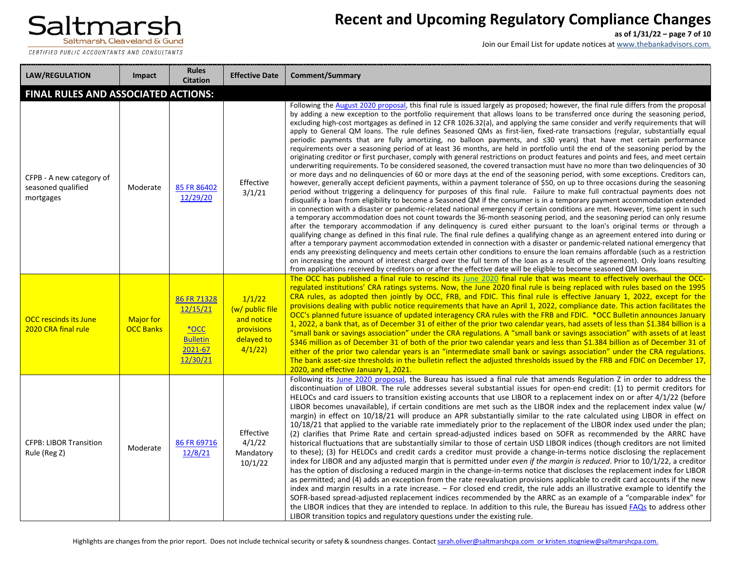

CERTIFIED PUBLIC ACCOUNTANTS AND CONSULTANTS

# **Recent and Upcoming Regulatory Compliance Changes**

**as of 1/31/22 – page 7 of 10**

| <b>LAW/REGULATION</b>                                       | Impact                               | <b>Rules</b><br><b>Citation</b>                                              | <b>Effective Date</b>                                                         | <b>Comment/Summary</b>                                                                                                                                                                                                                                                                                                                                                                                                                                                                                                                                                                                                                                                                                                                                                                                                                                                                                                                                                                                                                                                                                                                                                                                                                                                                                                                                                                                                                                                                                                                                                                                                                                                                                                                                                                                                                                                                                                                                                                                                                                                                                                                                                                                                                                                                                                                                                                                                                                                                                                                                                                                                                                                 |
|-------------------------------------------------------------|--------------------------------------|------------------------------------------------------------------------------|-------------------------------------------------------------------------------|------------------------------------------------------------------------------------------------------------------------------------------------------------------------------------------------------------------------------------------------------------------------------------------------------------------------------------------------------------------------------------------------------------------------------------------------------------------------------------------------------------------------------------------------------------------------------------------------------------------------------------------------------------------------------------------------------------------------------------------------------------------------------------------------------------------------------------------------------------------------------------------------------------------------------------------------------------------------------------------------------------------------------------------------------------------------------------------------------------------------------------------------------------------------------------------------------------------------------------------------------------------------------------------------------------------------------------------------------------------------------------------------------------------------------------------------------------------------------------------------------------------------------------------------------------------------------------------------------------------------------------------------------------------------------------------------------------------------------------------------------------------------------------------------------------------------------------------------------------------------------------------------------------------------------------------------------------------------------------------------------------------------------------------------------------------------------------------------------------------------------------------------------------------------------------------------------------------------------------------------------------------------------------------------------------------------------------------------------------------------------------------------------------------------------------------------------------------------------------------------------------------------------------------------------------------------------------------------------------------------------------------------------------------------|
| <b>FINAL RULES AND ASSOCIATED ACTIONS:</b>                  |                                      |                                                                              |                                                                               |                                                                                                                                                                                                                                                                                                                                                                                                                                                                                                                                                                                                                                                                                                                                                                                                                                                                                                                                                                                                                                                                                                                                                                                                                                                                                                                                                                                                                                                                                                                                                                                                                                                                                                                                                                                                                                                                                                                                                                                                                                                                                                                                                                                                                                                                                                                                                                                                                                                                                                                                                                                                                                                                        |
| CFPB - A new category of<br>seasoned qualified<br>mortgages | Moderate                             | 85 FR 86402<br>12/29/20                                                      | Effective<br>3/1/21                                                           | Following the August 2020 proposal, this final rule is issued largely as proposed; however, the final rule differs from the proposal<br>by adding a new exception to the portfolio requirement that allows loans to be transferred once during the seasoning period,<br>excluding high-cost mortgages as defined in 12 CFR 1026.32(a), and applying the same consider and verify requirements that will<br>apply to General QM loans. The rule defines Seasoned QMs as first-lien, fixed-rate transactions (regular, substantially equal<br>periodic payments that are fully amortizing, no balloon payments, and ≤30 years) that have met certain performance<br>requirements over a seasoning period of at least 36 months, are held in portfolio until the end of the seasoning period by the<br>originating creditor or first purchaser, comply with general restrictions on product features and points and fees, and meet certain<br>underwriting requirements. To be considered seasoned, the covered transaction must have no more than two delinguencies of 30<br>or more days and no delinguencies of 60 or more days at the end of the seasoning period, with some exceptions. Creditors can,<br>however, generally accept deficient payments, within a payment tolerance of \$50, on up to three occasions during the seasoning<br>period without triggering a delinguency for purposes of this final rule. Failure to make full contractual payments does not<br>disqualify a loan from eligibility to become a Seasoned QM if the consumer is in a temporary payment accommodation extended<br>in connection with a disaster or pandemic-related national emergency if certain conditions are met. However, time spent in such<br>a temporary accommodation does not count towards the 36-month seasoning period, and the seasoning period can only resume<br>after the temporary accommodation if any delinguency is cured either pursuant to the loan's original terms or through a<br>qualifying change as defined in this final rule. The final rule defines a qualifying change as an agreement entered into during or<br>after a temporary payment accommodation extended in connection with a disaster or pandemic-related national emergency that<br>ends any preexisting delinguency and meets certain other conditions to ensure the loan remains affordable (such as a restriction<br>on increasing the amount of interest charged over the full term of the loan as a result of the agreement). Only loans resulting<br>from applications received by creditors on or after the effective date will be eligible to become seasoned QM loans. |
| <b>OCC</b> rescinds its June<br>2020 CRA final rule         | <b>Major for</b><br><b>OCC Banks</b> | 86 FR 71328<br>12/15/21<br>$*$ OCC<br><b>Bulletin</b><br>2021-67<br>12/30/21 | 1/1/22<br>(w/ public file<br>and notice<br>provisions<br>delayed to<br>4/1/22 | The OCC has published a final rule to rescind its June 2020 final rule that was meant to effectively overhaul the OCC-<br>regulated institutions' CRA ratings systems. Now, the June 2020 final rule is being replaced with rules based on the 1995<br>CRA rules, as adopted then jointly by OCC, FRB, and FDIC. This final rule is effective January 1, 2022, except for the<br>provisions dealing with public notice requirements that have an April 1, 2022, compliance date. This action facilitates the<br>OCC's planned future issuance of updated interagency CRA rules with the FRB and FDIC. *OCC Bulletin announces January<br>1, 2022, a bank that, as of December 31 of either of the prior two calendar years, had assets of less than \$1.384 billion is a<br>"small bank or savings association" under the CRA regulations. A "small bank or savings association" with assets of at least<br>\$346 million as of December 31 of both of the prior two calendar years and less than \$1.384 billion as of December 31 of<br>either of the prior two calendar years is an "intermediate small bank or savings association" under the CRA regulations.<br>The bank asset-size thresholds in the bulletin reflect the adjusted thresholds issued by the FRB and FDIC on December 17,<br>2020, and effective January 1, 2021.                                                                                                                                                                                                                                                                                                                                                                                                                                                                                                                                                                                                                                                                                                                                                                                                                                                                                                                                                                                                                                                                                                                                                                                                                                                                                                                                |
| <b>CFPB: LIBOR Transition</b><br>Rule (Reg Z)               | Moderate                             | 86 FR 69716<br>12/8/21                                                       | Effective<br>4/1/22<br>Mandatory<br>10/1/22                                   | Following its June 2020 proposal, the Bureau has issued a final rule that amends Regulation Z in order to address the<br>discontinuation of LIBOR. The rule addresses several substantial issues for open-end credit: (1) to permit creditors for<br>HELOCs and card issuers to transition existing accounts that use LIBOR to a replacement index on or after 4/1/22 (before<br>LIBOR becomes unavailable), if certain conditions are met such as the LIBOR index and the replacement index value (w/<br>margin) in effect on 10/18/21 will produce an APR substantially similar to the rate calculated using LIBOR in effect on<br>10/18/21 that applied to the variable rate immediately prior to the replacement of the LIBOR index used under the plan;<br>(2) clarifies that Prime Rate and certain spread-adjusted indices based on SOFR as recommended by the ARRC have<br>historical fluctuations that are substantially similar to those of certain USD LIBOR indices (though creditors are not limited<br>to these); (3) for HELOCs and credit cards a creditor must provide a change-in-terms notice disclosing the replacement<br>index for LIBOR and any adjusted margin that is permitted under even if the margin is reduced. Prior to 10/1/22, a creditor<br>has the option of disclosing a reduced margin in the change-in-terms notice that discloses the replacement index for LIBOR<br>as permitted; and (4) adds an exception from the rate reevaluation provisions applicable to credit card accounts if the new<br>index and margin results in a rate increase. - For closed end credit, the rule adds an illustrative example to identify the<br>SOFR-based spread-adjusted replacement indices recommended by the ARRC as an example of a "comparable index" for<br>the LIBOR indices that they are intended to replace. In addition to this rule, the Bureau has issued FAQs to address other<br>LIBOR transition topics and regulatory questions under the existing rule.                                                                                                                                                                                                                                                                                                                                                                                                                                                                                                                                                                                                                                                                  |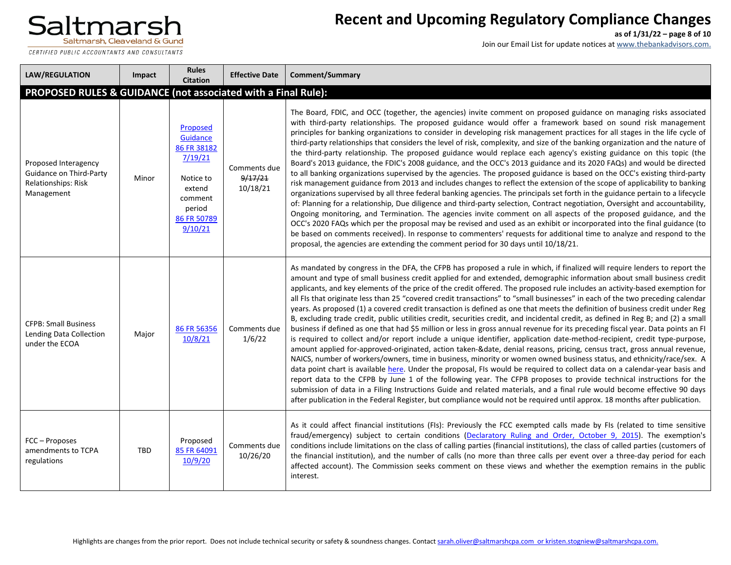CERTIFIED PUBLIC ACCOUNTANTS AND CONSULTANTS

# **Recent and Upcoming Regulatory Compliance Changes**

**as of 1/31/22 – page 8 of 10**

| <b>LAW/REGULATION</b>                                                                       | Impact | <b>Rules</b><br><b>Citation</b>                                                                                      | <b>Effective Date</b>               | Comment/Summary                                                                                                                                                                                                                                                                                                                                                                                                                                                                                                                                                                                                                                                                                                                                                                                                                                                                                                                                                                                                                                                                                                                                                                                                                                                                                                                                                                                                                                                                                                                                                                                                                                                                                                                                                                                                                  |
|---------------------------------------------------------------------------------------------|--------|----------------------------------------------------------------------------------------------------------------------|-------------------------------------|----------------------------------------------------------------------------------------------------------------------------------------------------------------------------------------------------------------------------------------------------------------------------------------------------------------------------------------------------------------------------------------------------------------------------------------------------------------------------------------------------------------------------------------------------------------------------------------------------------------------------------------------------------------------------------------------------------------------------------------------------------------------------------------------------------------------------------------------------------------------------------------------------------------------------------------------------------------------------------------------------------------------------------------------------------------------------------------------------------------------------------------------------------------------------------------------------------------------------------------------------------------------------------------------------------------------------------------------------------------------------------------------------------------------------------------------------------------------------------------------------------------------------------------------------------------------------------------------------------------------------------------------------------------------------------------------------------------------------------------------------------------------------------------------------------------------------------|
| PROPOSED RULES & GUIDANCE (not associated with a Final Rule):                               |        |                                                                                                                      |                                     |                                                                                                                                                                                                                                                                                                                                                                                                                                                                                                                                                                                                                                                                                                                                                                                                                                                                                                                                                                                                                                                                                                                                                                                                                                                                                                                                                                                                                                                                                                                                                                                                                                                                                                                                                                                                                                  |
| Proposed Interagency<br>Guidance on Third-Party<br><b>Relationships: Risk</b><br>Management | Minor  | Proposed<br>Guidance<br>86 FR 38182<br>7/19/21<br>Notice to<br>extend<br>comment<br>period<br>86 FR 50789<br>9/10/21 | Comments due<br>9/17/21<br>10/18/21 | The Board, FDIC, and OCC (together, the agencies) invite comment on proposed guidance on managing risks associated<br>with third-party relationships. The proposed guidance would offer a framework based on sound risk management<br>principles for banking organizations to consider in developing risk management practices for all stages in the life cycle of<br>third-party relationships that considers the level of risk, complexity, and size of the banking organization and the nature of<br>the third-party relationship. The proposed guidance would replace each agency's existing guidance on this topic (the<br>Board's 2013 guidance, the FDIC's 2008 guidance, and the OCC's 2013 guidance and its 2020 FAQs) and would be directed<br>to all banking organizations supervised by the agencies. The proposed guidance is based on the OCC's existing third-party<br>risk management guidance from 2013 and includes changes to reflect the extension of the scope of applicability to banking<br>organizations supervised by all three federal banking agencies. The principals set forth in the guidance pertain to a lifecycle<br>of: Planning for a relationship, Due diligence and third-party selection, Contract negotiation, Oversight and accountability,<br>Ongoing monitoring, and Termination. The agencies invite comment on all aspects of the proposed guidance, and the<br>OCC's 2020 FAQs which per the proposal may be revised and used as an exhibit or incorporated into the final guidance (to<br>be based on comments received). In response to commenters' requests for additional time to analyze and respond to the<br>proposal, the agencies are extending the comment period for 30 days until 10/18/21.                                                                             |
| <b>CFPB: Small Business</b><br>Lending Data Collection<br>under the ECOA                    | Major  | 86 FR 56356<br>10/8/21                                                                                               | Comments due<br>1/6/22              | As mandated by congress in the DFA, the CFPB has proposed a rule in which, if finalized will require lenders to report the<br>amount and type of small business credit applied for and extended, demographic information about small business credit<br>applicants, and key elements of the price of the credit offered. The proposed rule includes an activity-based exemption for<br>all FIs that originate less than 25 "covered credit transactions" to "small businesses" in each of the two preceding calendar<br>years. As proposed (1) a covered credit transaction is defined as one that meets the definition of business credit under Reg<br>B, excluding trade credit, public utilities credit, securities credit, and incidental credit, as defined in Reg B; and (2) a small<br>business if defined as one that had \$5 million or less in gross annual revenue for its preceding fiscal year. Data points an FI<br>is required to collect and/or report include a unique identifier, application date-method-recipient, credit type-purpose,<br>amount applied for-approved-originated, action taken-&date, denial reasons, pricing, census tract, gross annual revenue,<br>NAICS, number of workers/owners, time in business, minority or women owned business status, and ethnicity/race/sex. A<br>data point chart is available here. Under the proposal, FIs would be required to collect data on a calendar-year basis and<br>report data to the CFPB by June 1 of the following year. The CFPB proposes to provide technical instructions for the<br>submission of data in a Filing Instructions Guide and related materials, and a final rule would become effective 90 days<br>after publication in the Federal Register, but compliance would not be required until approx. 18 months after publication. |
| FCC - Proposes<br>amendments to TCPA<br>regulations                                         | TBD    | Proposed<br>85 FR 64091<br>10/9/20                                                                                   | Comments due<br>10/26/20            | As it could affect financial institutions (FIs): Previously the FCC exempted calls made by FIs (related to time sensitive<br>fraud/emergency) subject to certain conditions (Declaratory Ruling and Order, October 9, 2015). The exemption's<br>conditions include limitations on the class of calling parties (financial institutions), the class of called parties (customers of<br>the financial institution), and the number of calls (no more than three calls per event over a three-day period for each<br>affected account). The Commission seeks comment on these views and whether the exemption remains in the public<br>interest.                                                                                                                                                                                                                                                                                                                                                                                                                                                                                                                                                                                                                                                                                                                                                                                                                                                                                                                                                                                                                                                                                                                                                                                    |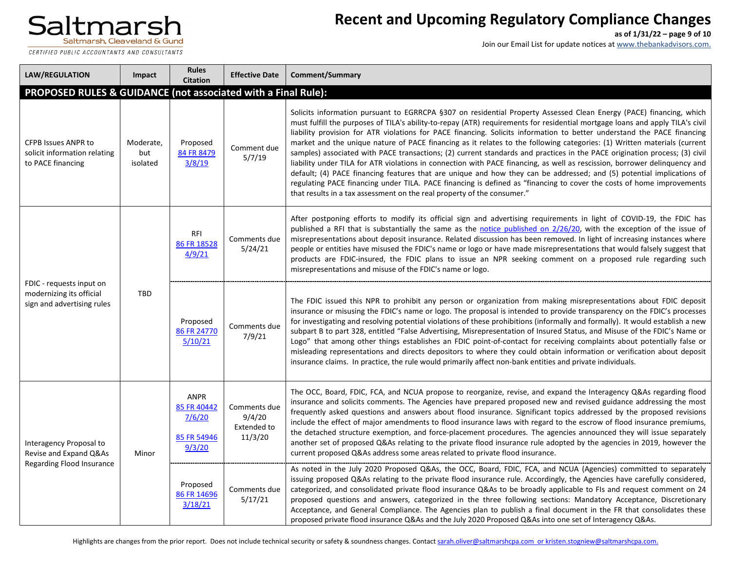CERTIFIED PUBLIC ACCOUNTANTS AND CONSULTANTS

# **Recent and Upcoming Regulatory Compliance Changes**

**as of 1/31/22 – page 9 of 10**

| <b>LAW/REGULATION</b>                                                              | Impact                       | <b>Rules</b><br><b>Citation</b>                               | <b>Effective Date</b>                                   | Comment/Summary                                                                                                                                                                                                                                                                                                                                                                                                                                                                                                                                                                                                                                                                                                                                                                                                                                                                                                                                                                                                                                                                                      |
|------------------------------------------------------------------------------------|------------------------------|---------------------------------------------------------------|---------------------------------------------------------|------------------------------------------------------------------------------------------------------------------------------------------------------------------------------------------------------------------------------------------------------------------------------------------------------------------------------------------------------------------------------------------------------------------------------------------------------------------------------------------------------------------------------------------------------------------------------------------------------------------------------------------------------------------------------------------------------------------------------------------------------------------------------------------------------------------------------------------------------------------------------------------------------------------------------------------------------------------------------------------------------------------------------------------------------------------------------------------------------|
| PROPOSED RULES & GUIDANCE (not associated with a Final Rule):                      |                              |                                                               |                                                         |                                                                                                                                                                                                                                                                                                                                                                                                                                                                                                                                                                                                                                                                                                                                                                                                                                                                                                                                                                                                                                                                                                      |
| <b>CFPB Issues ANPR to</b><br>solicit information relating<br>to PACE financing    | Moderate,<br>but<br>isolated | Proposed<br>84 FR 8479<br>3/8/19                              | Comment due<br>5/7/19                                   | Solicits information pursuant to EGRRCPA §307 on residential Property Assessed Clean Energy (PACE) financing, which<br>must fulfill the purposes of TILA's ability-to-repay (ATR) requirements for residential mortgage loans and apply TILA's civil<br>liability provision for ATR violations for PACE financing. Solicits information to better understand the PACE financing<br>market and the unique nature of PACE financing as it relates to the following categories: (1) Written materials (current<br>samples) associated with PACE transactions; (2) current standards and practices in the PACE origination process; (3) civil<br>liability under TILA for ATR violations in connection with PACE financing, as well as rescission, borrower delinquency and<br>default; (4) PACE financing features that are unique and how they can be addressed; and (5) potential implications of<br>regulating PACE financing under TILA. PACE financing is defined as "financing to cover the costs of home improvements<br>that results in a tax assessment on the real property of the consumer." |
| FDIC - requests input on<br>modernizing its official<br>sign and advertising rules | <b>TBD</b>                   | RFI<br>86 FR 18528<br>4/9/21                                  | Comments due<br>5/24/21                                 | After postponing efforts to modify its official sign and advertising requirements in light of COVID-19, the FDIC has<br>published a RFI that is substantially the same as the notice published on 2/26/20, with the exception of the issue of<br>misrepresentations about deposit insurance. Related discussion has been removed. In light of increasing instances where<br>people or entities have misused the FDIC's name or logo or have made misrepresentations that would falsely suggest that<br>products are FDIC-insured, the FDIC plans to issue an NPR seeking comment on a proposed rule regarding such<br>misrepresentations and misuse of the FDIC's name or logo.                                                                                                                                                                                                                                                                                                                                                                                                                      |
|                                                                                    |                              | Proposed<br>86 FR 24770<br>5/10/21                            | Comments due<br>7/9/21                                  | The FDIC issued this NPR to prohibit any person or organization from making misrepresentations about FDIC deposit<br>insurance or misusing the FDIC's name or logo. The proposal is intended to provide transparency on the FDIC's processes<br>for investigating and resolving potential violations of these prohibitions (informally and formally). It would establish a new<br>subpart B to part 328, entitled "False Advertising, Misrepresentation of Insured Status, and Misuse of the FDIC's Name or<br>Logo" that among other things establishes an FDIC point-of-contact for receiving complaints about potentially false or<br>misleading representations and directs depositors to where they could obtain information or verification about deposit<br>insurance claims. In practice, the rule would primarily affect non-bank entities and private individuals.                                                                                                                                                                                                                         |
| Interagency Proposal to<br>Revise and Expand Q&As<br>Regarding Flood Insurance     | Minor                        | <b>ANPR</b><br>85 FR 40442<br>7/6/20<br>85 FR 54946<br>9/3/20 | Comments due<br>9/4/20<br><b>Extended to</b><br>11/3/20 | The OCC, Board, FDIC, FCA, and NCUA propose to reorganize, revise, and expand the Interagency Q&As regarding flood<br>insurance and solicits comments. The Agencies have prepared proposed new and revised guidance addressing the most<br>frequently asked questions and answers about flood insurance. Significant topics addressed by the proposed revisions<br>include the effect of major amendments to flood insurance laws with regard to the escrow of flood insurance premiums,<br>the detached structure exemption, and force-placement procedures. The agencies announced they will issue separately<br>another set of proposed Q&As relating to the private flood insurance rule adopted by the agencies in 2019, however the<br>current proposed Q&As address some areas related to private flood insurance.                                                                                                                                                                                                                                                                            |
|                                                                                    |                              | Proposed<br>86 FR 14696<br>3/18/21                            | Comments due<br>5/17/21                                 | As noted in the July 2020 Proposed Q&As, the OCC, Board, FDIC, FCA, and NCUA (Agencies) committed to separately<br>issuing proposed Q&As relating to the private flood insurance rule. Accordingly, the Agencies have carefully considered,<br>categorized, and consolidated private flood insurance Q&As to be broadly applicable to FIs and request comment on 24<br>proposed questions and answers, categorized in the three following sections: Mandatory Acceptance, Discretionary<br>Acceptance, and General Compliance. The Agencies plan to publish a final document in the FR that consolidates these<br>proposed private flood insurance Q&As and the July 2020 Proposed Q&As into one set of Interagency Q&As.                                                                                                                                                                                                                                                                                                                                                                            |